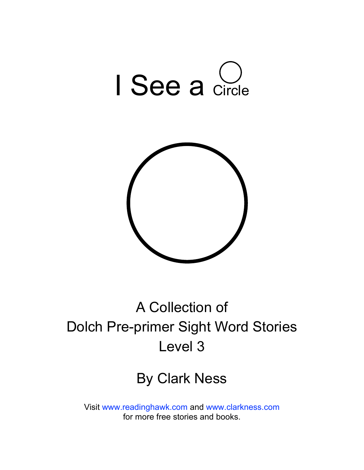



### A Collection of Dolch Pre-primer Sight Word Stories Level 3

#### By Clark Ness

Visit [www.readinghawk.com](http://www.readinghawk.com) and [www.clarkness.com](http://www.clarkness.com) for more free stories and books.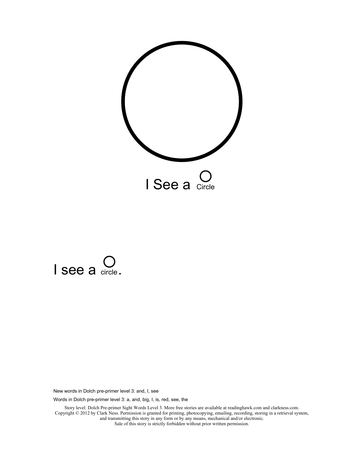



Words in Dolch pre-primer level 3: a, and, big, I, is, red, see, the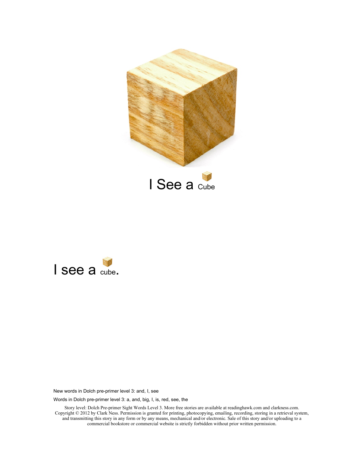



Words in Dolch pre-primer level 3: a, and, big, I, is, red, see, the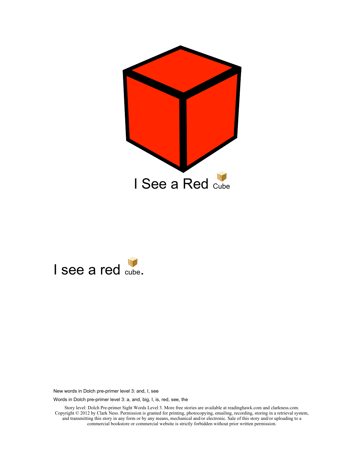



Words in Dolch pre-primer level 3: a, and, big, I, is, red, see, the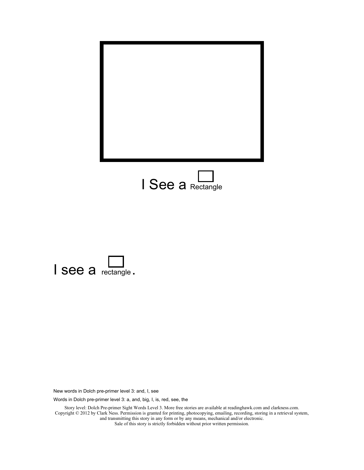



Words in Dolch pre-primer level 3: a, and, big, I, is, red, see, the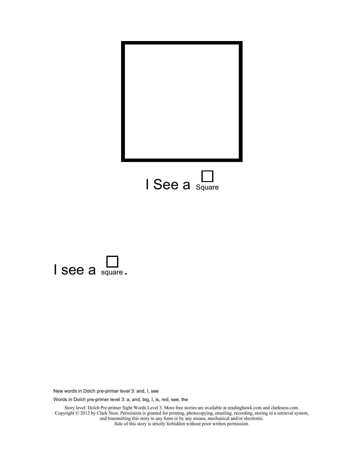



Words in Dolch pre-primer level 3: a, and, big, I, is, red, see, the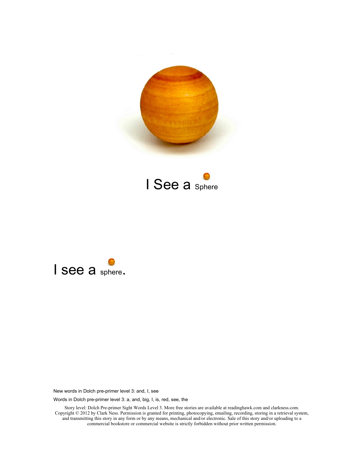





Words in Dolch pre-primer level 3: a, and, big, I, is, red, see, the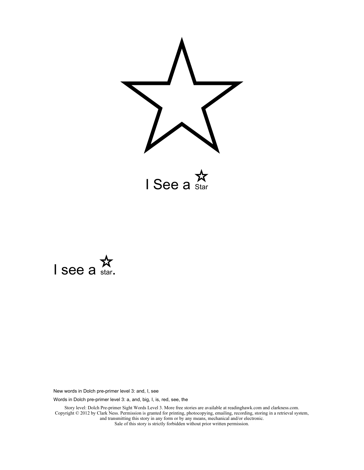

 $I$  See a  $\sum_{\text{Star}}$ 



New words in Dolch pre-primer level 3: and, I, see

Words in Dolch pre-primer level 3: a, and, big, I, is, red, see, the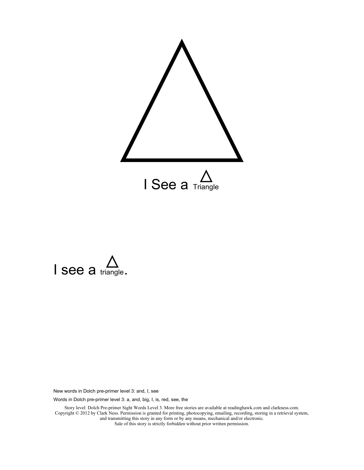



Words in Dolch pre-primer level 3: a, and, big, I, is, red, see, the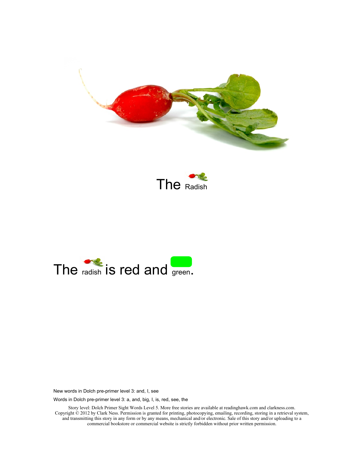





Words in Dolch pre-primer level 3: a, and, big, I, is, red, see, the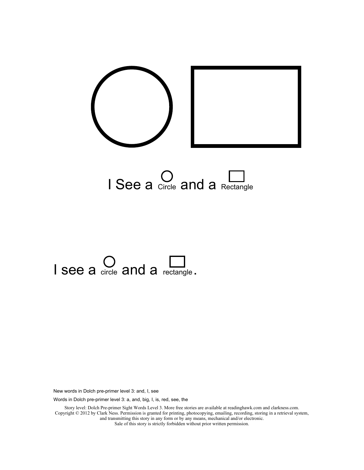



# $I$  see a circle and a rectangle.

New words in Dolch pre-primer level 3: and, I, see

Words in Dolch pre-primer level 3: a, and, big, I, is, red, see, the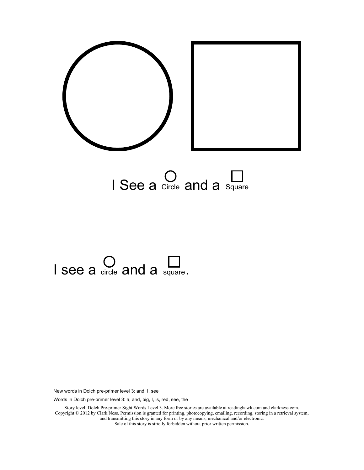



## I see a circle and a square.

New words in Dolch pre-primer level 3: and, I, see

Words in Dolch pre-primer level 3: a, and, big, I, is, red, see, the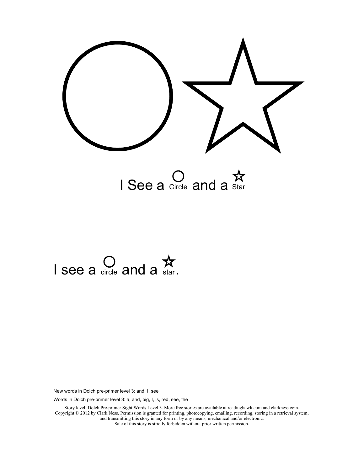

I See a circle and a Star

# I see a circle and a star.

New words in Dolch pre-primer level 3: and, I, see

Words in Dolch pre-primer level 3: a, and, big, I, is, red, see, the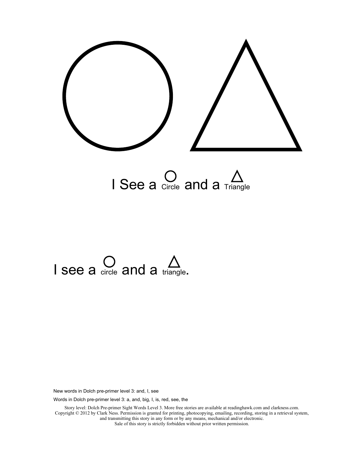

# I see a circle and a triangle.

New words in Dolch pre-primer level 3: and, I, see

Words in Dolch pre-primer level 3: a, and, big, I, is, red, see, the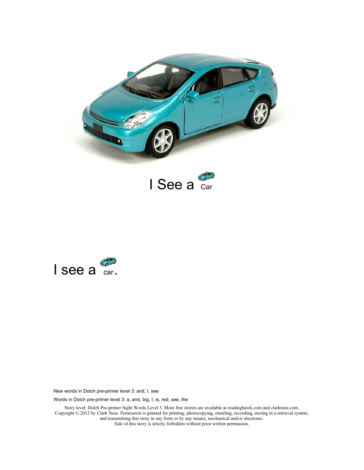





Words in Dolch pre-primer level 3: a, and, big, I, is, red, see, the